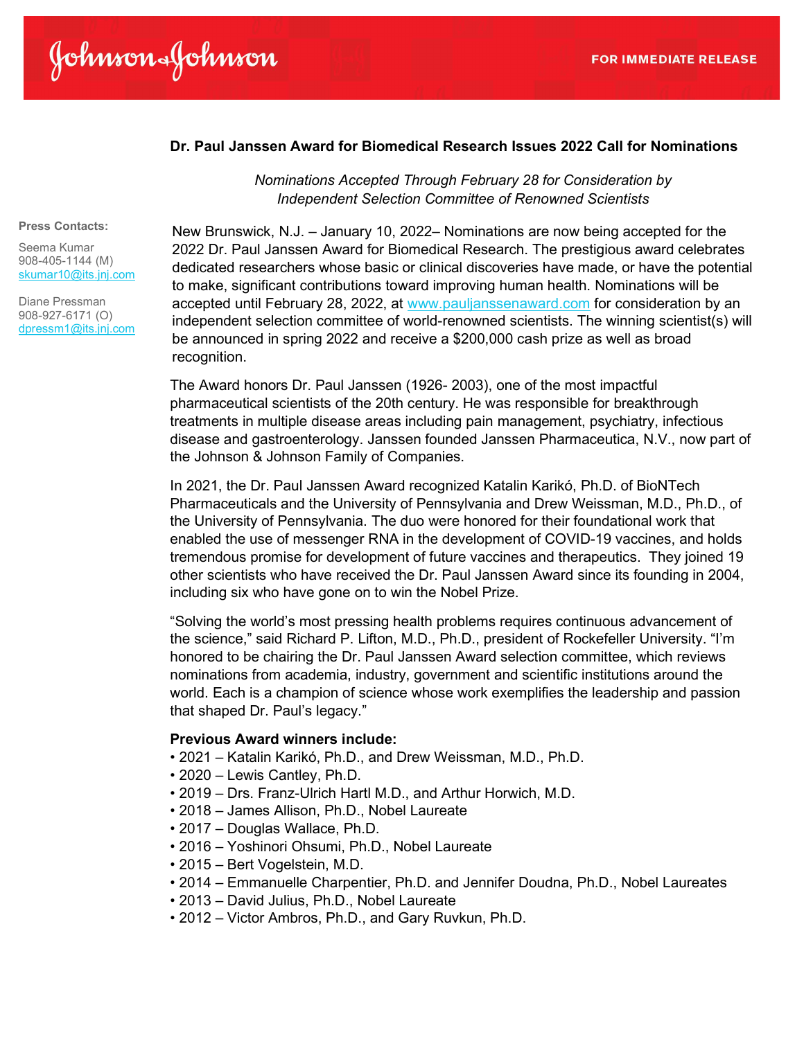# Dr. Paul Janssen Award for Biomedical Research Issues 2022 Call for Nominations

Nominations Accepted Through February 28 for Consideration by Independent Selection Committee of Renowned Scientists

#### Press Contacts:

Seema Kumar 908-405-1144 (M) skumar10@its.jnj.com

Diane Pressman 908-927-6171 (O) dpressm1@its.jnj.com New Brunswick, N.J. – January 10, 2022– Nominations are now being accepted for the 2022 Dr. Paul Janssen Award for Biomedical Research. The prestigious award celebrates dedicated researchers whose basic or clinical discoveries have made, or have the potential to make, significant contributions toward improving human health. Nominations will be accepted until February 28, 2022, at www.pauljanssenaward.com for consideration by an independent selection committee of world-renowned scientists. The winning scientist(s) will be announced in spring 2022 and receive a \$200,000 cash prize as well as broad recognition.

The Award honors Dr. Paul Janssen (1926- 2003), one of the most impactful pharmaceutical scientists of the 20th century. He was responsible for breakthrough treatments in multiple disease areas including pain management, psychiatry, infectious disease and gastroenterology. Janssen founded Janssen Pharmaceutica, N.V., now part of the Johnson & Johnson Family of Companies.

In 2021, the Dr. Paul Janssen Award recognized Katalin Karikó, Ph.D. of BioNTech Pharmaceuticals and the University of Pennsylvania and Drew Weissman, M.D., Ph.D., of the University of Pennsylvania. The duo were honored for their foundational work that enabled the use of messenger RNA in the development of COVID-19 vaccines, and holds tremendous promise for development of future vaccines and therapeutics. They joined 19 other scientists who have received the Dr. Paul Janssen Award since its founding in 2004, including six who have gone on to win the Nobel Prize.

"Solving the world's most pressing health problems requires continuous advancement of the science," said Richard P. Lifton, M.D., Ph.D., president of Rockefeller University. "I'm honored to be chairing the Dr. Paul Janssen Award selection committee, which reviews nominations from academia, industry, government and scientific institutions around the world. Each is a champion of science whose work exemplifies the leadership and passion that shaped Dr. Paul's legacy."

### Previous Award winners include:

- 2021 Katalin Karikó, Ph.D., and Drew Weissman, M.D., Ph.D.
- 2020 Lewis Cantley, Ph.D.
- 2019 Drs. Franz-Ulrich Hartl M.D., and Arthur Horwich, M.D.
- 2018 James Allison, Ph.D., Nobel Laureate
- 2017 Douglas Wallace, Ph.D.
- 2016 Yoshinori Ohsumi, Ph.D., Nobel Laureate
- 2015 Bert Vogelstein, M.D.
- 2014 Emmanuelle Charpentier, Ph.D. and Jennifer Doudna, Ph.D., Nobel Laureates
- 2013 David Julius, Ph.D., Nobel Laureate
- 2012 Victor Ambros, Ph.D., and Gary Ruvkun, Ph.D.